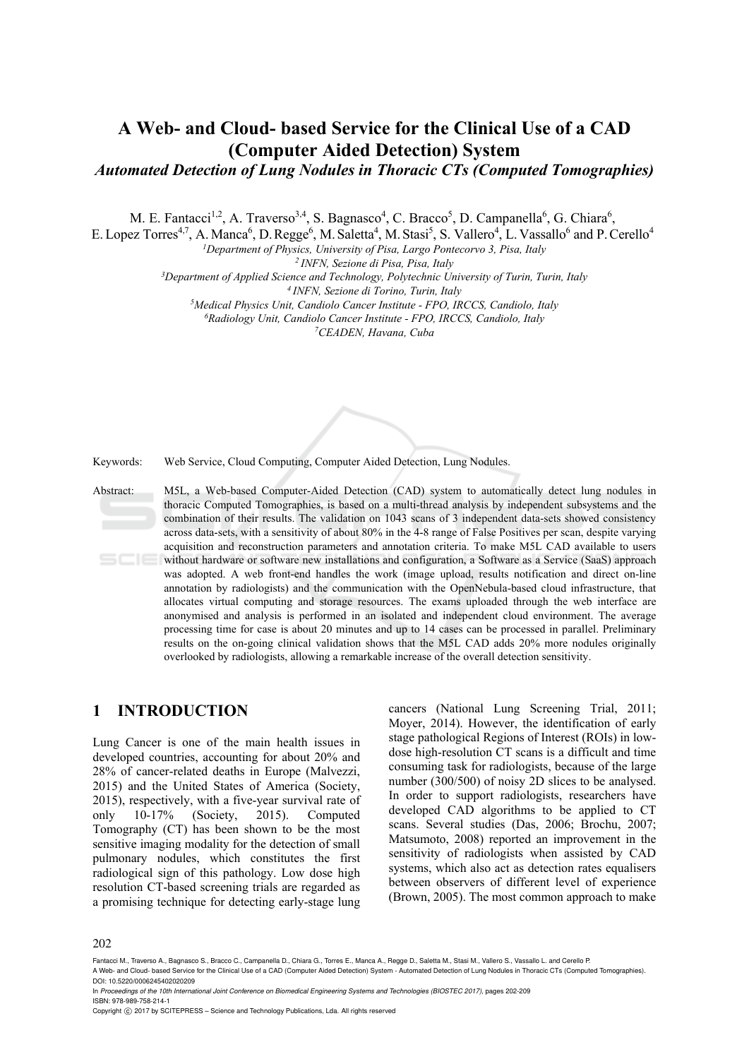# **A Web- and Cloud- based Service for the Clinical Use of a CAD (Computer Aided Detection) System**

*Automated Detection of Lung Nodules in Thoracic CTs (Computed Tomographies)* 

M. E. Fantacci<sup>1,2</sup>, A. Traverso<sup>3,4</sup>, S. Bagnasco<sup>4</sup>, C. Bracco<sup>5</sup>, D. Campanella<sup>6</sup>, G. Chiara<sup>6</sup>,

E. Lopez Torres<sup>4,7</sup>, A. Manca<sup>6</sup>, D. Regge<sup>6</sup>, M. Saletta<sup>4</sup>, M. Stasi<sup>5</sup>, S. Vallero<sup>4</sup>, L. Vassallo<sup>6</sup> and P. Cerello<sup>4</sup>

<sup>1</sup>Department of Physics, University of Pisa, Largo Pontecorvo 3, Pisa, Italy<br><sup>2</sup> INFN, Sezione di Pisa, Pisa, Italy<br><sup>3</sup>Department of Applied Science and Technology, Polytechnic University of Turin, Turin, Italy<br><sup>4</sup> INFN,

*Radiology Unit, Candiolo Cancer Institute - FPO, IRCCS, Candiolo, Italy 7CEADEN, Havana, Cuba* 

Keywords: Web Service, Cloud Computing, Computer Aided Detection, Lung Nodules.

Abstract: M5L, a Web-based Computer-Aided Detection (CAD) system to automatically detect lung nodules in thoracic Computed Tomographies, is based on a multi-thread analysis by independent subsystems and the combination of their results. The validation on 1043 scans of 3 independent data-sets showed consistency across data-sets, with a sensitivity of about 80% in the 4-8 range of False Positives per scan, despite varying acquisition and reconstruction parameters and annotation criteria. To make M5L CAD available to users without hardware or software new installations and configuration, a Software as a Service (SaaS) approach was adopted. A web front-end handles the work (image upload, results notification and direct on-line annotation by radiologists) and the communication with the OpenNebula-based cloud infrastructure, that allocates virtual computing and storage resources. The exams uploaded through the web interface are anonymised and analysis is performed in an isolated and independent cloud environment. The average processing time for case is about 20 minutes and up to 14 cases can be processed in parallel. Preliminary results on the on-going clinical validation shows that the M5L CAD adds 20% more nodules originally overlooked by radiologists, allowing a remarkable increase of the overall detection sensitivity.

### **1 INTRODUCTION**

Lung Cancer is one of the main health issues in developed countries, accounting for about 20% and 28% of cancer-related deaths in Europe (Malvezzi, 2015) and the United States of America (Society, 2015), respectively, with a five-year survival rate of only 10-17% (Society, 2015). Computed Tomography (CT) has been shown to be the most sensitive imaging modality for the detection of small pulmonary nodules, which constitutes the first radiological sign of this pathology. Low dose high resolution CT-based screening trials are regarded as a promising technique for detecting early-stage lung

cancers (National Lung Screening Trial, 2011; Moyer, 2014). However, the identification of early stage pathological Regions of Interest (ROIs) in lowdose high-resolution CT scans is a difficult and time consuming task for radiologists, because of the large number (300/500) of noisy 2D slices to be analysed. In order to support radiologists, researchers have developed CAD algorithms to be applied to CT scans. Several studies (Das, 2006; Brochu, 2007; Matsumoto, 2008) reported an improvement in the sensitivity of radiologists when assisted by CAD systems, which also act as detection rates equalisers between observers of different level of experience (Brown, 2005). The most common approach to make

202

Fantacci M., Traverso A., Bagnasco S., Bracco C., Campanella D., Chiara G., Torres E., Manca A., Regge D., Saletta M., Stasi M., Vallero S., Vassallo L. and Cerello P.

A Web- and Cloud- based Service for the Clinical Use of a CAD (Computer Aided Detection) System - Automated Detection of Lung Nodules in Thoracic CTs (Computed Tomographies). DOI: 10.5220/0006245402020209

In *Proceedings of the 10th International Joint Conference on Biomedical Engineering Systems and Technologies (BIOSTEC 2017)*, pages 202-209 ISBN: 978-989-758-214-1

Copyright © 2017 by SCITEPRESS – Science and Technology Publications, Lda. All rights reserved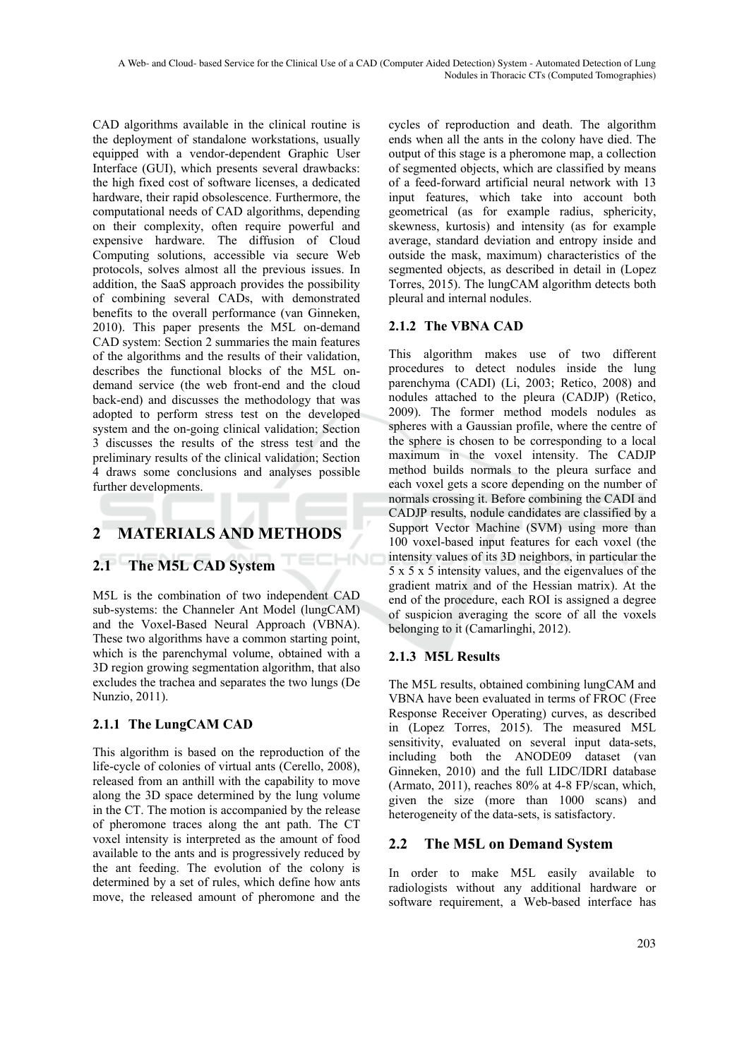CAD algorithms available in the clinical routine is the deployment of standalone workstations, usually equipped with a vendor-dependent Graphic User Interface (GUI), which presents several drawbacks: the high fixed cost of software licenses, a dedicated hardware, their rapid obsolescence. Furthermore, the computational needs of CAD algorithms, depending on their complexity, often require powerful and expensive hardware. The diffusion of Cloud Computing solutions, accessible via secure Web protocols, solves almost all the previous issues. In addition, the SaaS approach provides the possibility of combining several CADs, with demonstrated benefits to the overall performance (van Ginneken, 2010). This paper presents the M5L on-demand CAD system: Section 2 summaries the main features of the algorithms and the results of their validation, describes the functional blocks of the M5L ondemand service (the web front-end and the cloud back-end) and discusses the methodology that was adopted to perform stress test on the developed system and the on-going clinical validation; Section 3 discusses the results of the stress test and the preliminary results of the clinical validation; Section 4 draws some conclusions and analyses possible further developments.

## **2 MATERIALS AND METHODS**

### **2.1 The M5L CAD System**

M5L is the combination of two independent CAD sub-systems: the Channeler Ant Model (lungCAM) and the Voxel-Based Neural Approach (VBNA). These two algorithms have a common starting point, which is the parenchymal volume, obtained with a 3D region growing segmentation algorithm, that also excludes the trachea and separates the two lungs (De Nunzio, 2011).

#### **2.1.1 The LungCAM CAD**

This algorithm is based on the reproduction of the life-cycle of colonies of virtual ants (Cerello, 2008), released from an anthill with the capability to move along the 3D space determined by the lung volume in the CT. The motion is accompanied by the release of pheromone traces along the ant path. The CT voxel intensity is interpreted as the amount of food available to the ants and is progressively reduced by the ant feeding. The evolution of the colony is determined by a set of rules, which define how ants move, the released amount of pheromone and the cycles of reproduction and death. The algorithm ends when all the ants in the colony have died. The output of this stage is a pheromone map, a collection of segmented objects, which are classified by means of a feed-forward artificial neural network with 13 input features, which take into account both geometrical (as for example radius, sphericity, skewness, kurtosis) and intensity (as for example average, standard deviation and entropy inside and outside the mask, maximum) characteristics of the segmented objects, as described in detail in (Lopez Torres, 2015). The lungCAM algorithm detects both pleural and internal nodules.

### **2.1.2 The VBNA CAD**

This algorithm makes use of two different procedures to detect nodules inside the lung parenchyma (CADI) (Li, 2003; Retico, 2008) and nodules attached to the pleura (CADJP) (Retico, 2009). The former method models nodules as spheres with a Gaussian profile, where the centre of the sphere is chosen to be corresponding to a local maximum in the voxel intensity. The CADJP method builds normals to the pleura surface and each voxel gets a score depending on the number of normals crossing it. Before combining the CADI and CADJP results, nodule candidates are classified by a Support Vector Machine (SVM) using more than 100 voxel-based input features for each voxel (the intensity values of its 3D neighbors, in particular the 5 x 5 x 5 intensity values, and the eigenvalues of the gradient matrix and of the Hessian matrix). At the end of the procedure, each ROI is assigned a degree of suspicion averaging the score of all the voxels belonging to it (Camarlinghi, 2012).

#### **2.1.3 M5L Results**

HNC

The M5L results, obtained combining lungCAM and VBNA have been evaluated in terms of FROC (Free Response Receiver Operating) curves, as described in (Lopez Torres, 2015). The measured M5L sensitivity, evaluated on several input data-sets, including both the ANODE09 dataset (van Ginneken, 2010) and the full LIDC/IDRI database (Armato, 2011), reaches 80% at 4-8 FP/scan, which, given the size (more than 1000 scans) and heterogeneity of the data-sets, is satisfactory.

#### **2.2 The M5L on Demand System**

In order to make M5L easily available to radiologists without any additional hardware or software requirement, a Web-based interface has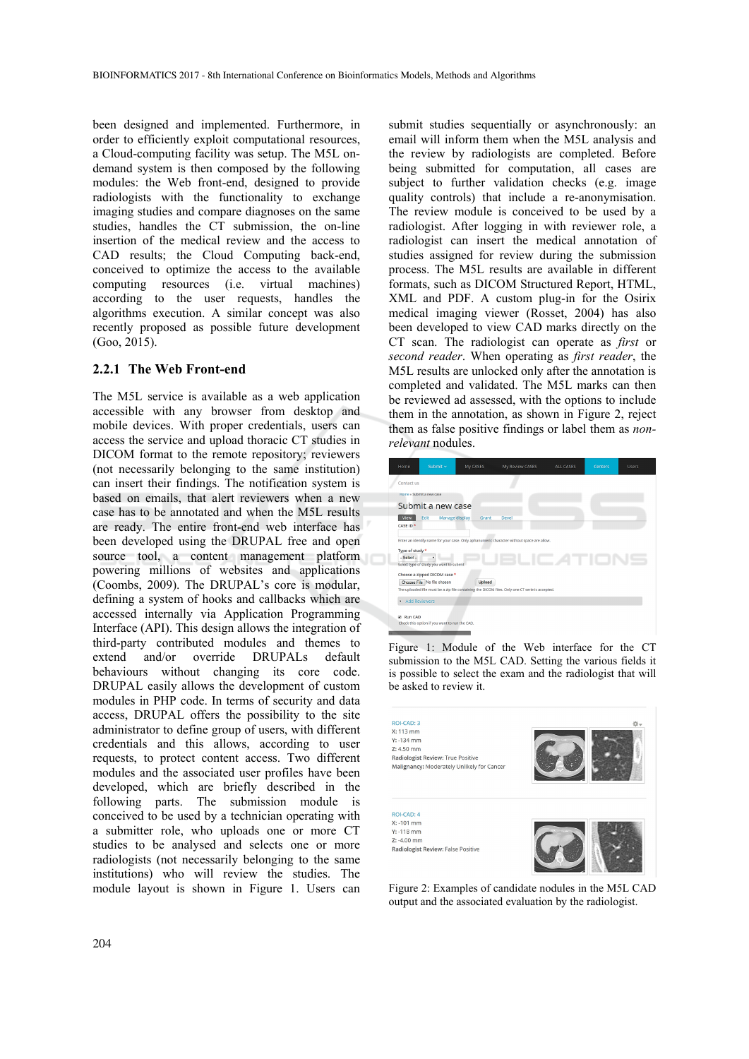been designed and implemented. Furthermore, in order to efficiently exploit computational resources, a Cloud-computing facility was setup. The M5L ondemand system is then composed by the following modules: the Web front-end, designed to provide radiologists with the functionality to exchange imaging studies and compare diagnoses on the same studies, handles the CT submission, the on-line insertion of the medical review and the access to CAD results; the Cloud Computing back-end, conceived to optimize the access to the available computing resources (i.e. virtual machines) according to the user requests, handles the algorithms execution. A similar concept was also recently proposed as possible future development (Goo, 2015).

#### **2.2.1 The Web Front-end**

The M5L service is available as a web application accessible with any browser from desktop and mobile devices. With proper credentials, users can access the service and upload thoracic CT studies in DICOM format to the remote repository; reviewers (not necessarily belonging to the same institution) can insert their findings. The notification system is based on emails, that alert reviewers when a new case has to be annotated and when the M5L results are ready. The entire front-end web interface has been developed using the DRUPAL free and open source tool, a content management platform powering millions of websites and applications (Coombs, 2009). The DRUPAL's core is modular, defining a system of hooks and callbacks which are accessed internally via Application Programming Interface (API). This design allows the integration of third-party contributed modules and themes to extend and/or override DRUPALs default behaviours without changing its core code. DRUPAL easily allows the development of custom modules in PHP code. In terms of security and data access, DRUPAL offers the possibility to the site administrator to define group of users, with different credentials and this allows, according to user requests, to protect content access. Two different modules and the associated user profiles have been developed, which are briefly described in the following parts. The submission module is conceived to be used by a technician operating with a submitter role, who uploads one or more CT studies to be analysed and selects one or more radiologists (not necessarily belonging to the same institutions) who will review the studies. The module layout is shown in Figure 1. Users can

submit studies sequentially or asynchronously: an email will inform them when the M5L analysis and the review by radiologists are completed. Before being submitted for computation, all cases are subject to further validation checks (e.g. image quality controls) that include a re-anonymisation. The review module is conceived to be used by a radiologist. After logging in with reviewer role, a radiologist can insert the medical annotation of studies assigned for review during the submission process. The M5L results are available in different formats, such as DICOM Structured Report, HTML, XML and PDF. A custom plug-in for the Osirix medical imaging viewer (Rosset, 2004) has also been developed to view CAD marks directly on the CT scan. The radiologist can operate as *first* or *second reader*. When operating as *first reader*, the M5L results are unlocked only after the annotation is completed and validated. The M5L marks can then be reviewed ad assessed, with the options to include them in the annotation, as shown in Figure 2, reject them as false positive findings or label them as *nonrelevant* nodules.

|  | Home                                                                                                                         | Submit $\sim$                                 | My CASES      | My Review CASES | ALL CASES | <b>Centers</b> | <b>Users</b> |  |  |
|--|------------------------------------------------------------------------------------------------------------------------------|-----------------------------------------------|---------------|-----------------|-----------|----------------|--------------|--|--|
|  | Contact us                                                                                                                   |                                               |               |                 |           |                |              |  |  |
|  |                                                                                                                              | Home » Submit a new case                      |               |                 |           |                |              |  |  |
|  |                                                                                                                              | Submit a new case                             |               |                 |           |                |              |  |  |
|  | View<br>Edit<br>Manage display<br>Grant<br>Devel                                                                             |                                               |               |                 |           |                |              |  |  |
|  | CASE ID *                                                                                                                    |                                               |               |                 |           |                |              |  |  |
|  |                                                                                                                              |                                               |               |                 |           |                |              |  |  |
|  | Enter an identify name for your case. Only aphanumeric character without space are allow.                                    |                                               |               |                 |           |                |              |  |  |
|  | Type of study *<br>- Select -                                                                                                |                                               |               |                 |           |                |              |  |  |
|  |                                                                                                                              |                                               |               |                 |           |                |              |  |  |
|  |                                                                                                                              | Select type of study you want to submit       |               |                 |           |                |              |  |  |
|  |                                                                                                                              | Choose a zipped DICOM case *                  |               |                 |           |                |              |  |  |
|  |                                                                                                                              | Choose File No file chosen                    | <b>Upload</b> |                 |           |                |              |  |  |
|  | The uploaded file must be a zip file containing the DICOM files. Only one CT serie is accepted,<br><b>Add Reviewers</b><br>٠ |                                               |               |                 |           |                |              |  |  |
|  |                                                                                                                              |                                               |               |                 |           |                |              |  |  |
|  | Run CAD                                                                                                                      |                                               |               |                 |           |                |              |  |  |
|  |                                                                                                                              | Check this option if you want to run the CAD. |               |                 |           |                |              |  |  |

Figure 1: Module of the Web interface for the CT submission to the M5L CAD. Setting the various fields it is possible to select the exam and the radiologist that will be asked to review it.



Figure 2: Examples of candidate nodules in the M5L CAD output and the associated evaluation by the radiologist.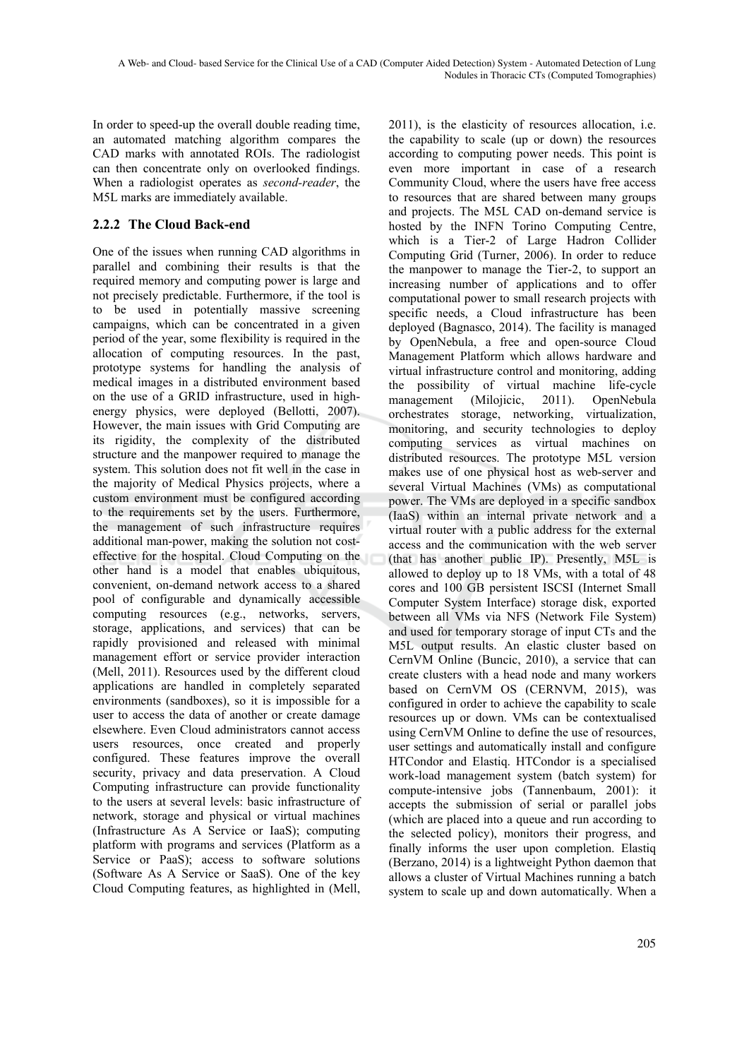In order to speed-up the overall double reading time, an automated matching algorithm compares the CAD marks with annotated ROIs. The radiologist can then concentrate only on overlooked findings. When a radiologist operates as *second-reader*, the M5L marks are immediately available.

### **2.2.2 The Cloud Back-end**

One of the issues when running CAD algorithms in parallel and combining their results is that the required memory and computing power is large and not precisely predictable. Furthermore, if the tool is to be used in potentially massive screening campaigns, which can be concentrated in a given period of the year, some flexibility is required in the allocation of computing resources. In the past, prototype systems for handling the analysis of medical images in a distributed environment based on the use of a GRID infrastructure, used in highenergy physics, were deployed (Bellotti, 2007). However, the main issues with Grid Computing are its rigidity, the complexity of the distributed structure and the manpower required to manage the system. This solution does not fit well in the case in the majority of Medical Physics projects, where a custom environment must be configured according to the requirements set by the users. Furthermore, the management of such infrastructure requires additional man-power, making the solution not costeffective for the hospital. Cloud Computing on the other hand is a model that enables ubiquitous, convenient, on-demand network access to a shared pool of configurable and dynamically accessible computing resources (e.g., networks, servers, storage, applications, and services) that can be rapidly provisioned and released with minimal management effort or service provider interaction (Mell, 2011). Resources used by the different cloud applications are handled in completely separated environments (sandboxes), so it is impossible for a user to access the data of another or create damage elsewhere. Even Cloud administrators cannot access users resources, once created and properly configured. These features improve the overall security, privacy and data preservation. A Cloud Computing infrastructure can provide functionality to the users at several levels: basic infrastructure of network, storage and physical or virtual machines (Infrastructure As A Service or IaaS); computing platform with programs and services (Platform as a Service or PaaS); access to software solutions (Software As A Service or SaaS). One of the key Cloud Computing features, as highlighted in (Mell,

2011), is the elasticity of resources allocation, i.e. the capability to scale (up or down) the resources according to computing power needs. This point is even more important in case of a research Community Cloud, where the users have free access to resources that are shared between many groups and projects. The M5L CAD on-demand service is hosted by the INFN Torino Computing Centre, which is a Tier-2 of Large Hadron Collider Computing Grid (Turner, 2006). In order to reduce the manpower to manage the Tier-2, to support an increasing number of applications and to offer computational power to small research projects with specific needs, a Cloud infrastructure has been deployed (Bagnasco, 2014). The facility is managed by OpenNebula, a free and open-source Cloud Management Platform which allows hardware and virtual infrastructure control and monitoring, adding the possibility of virtual machine life-cycle management (Milojicic, 2011). OpenNebula orchestrates storage, networking, virtualization, monitoring, and security technologies to deploy computing services as virtual machines on distributed resources. The prototype M5L version makes use of one physical host as web-server and several Virtual Machines (VMs) as computational power. The VMs are deployed in a specific sandbox (IaaS) within an internal private network and a virtual router with a public address for the external access and the communication with the web server (that has another public IP). Presently, M5L is allowed to deploy up to 18 VMs, with a total of 48 cores and 100 GB persistent ISCSI (Internet Small Computer System Interface) storage disk, exported between all VMs via NFS (Network File System) and used for temporary storage of input CTs and the M5L output results. An elastic cluster based on CernVM Online (Buncic, 2010), a service that can create clusters with a head node and many workers based on CernVM OS (CERNVM, 2015), was configured in order to achieve the capability to scale resources up or down. VMs can be contextualised using CernVM Online to define the use of resources, user settings and automatically install and configure HTCondor and Elastiq. HTCondor is a specialised work-load management system (batch system) for compute-intensive jobs (Tannenbaum, 2001): it accepts the submission of serial or parallel jobs (which are placed into a queue and run according to the selected policy), monitors their progress, and finally informs the user upon completion. Elastiq (Berzano, 2014) is a lightweight Python daemon that allows a cluster of Virtual Machines running a batch system to scale up and down automatically. When a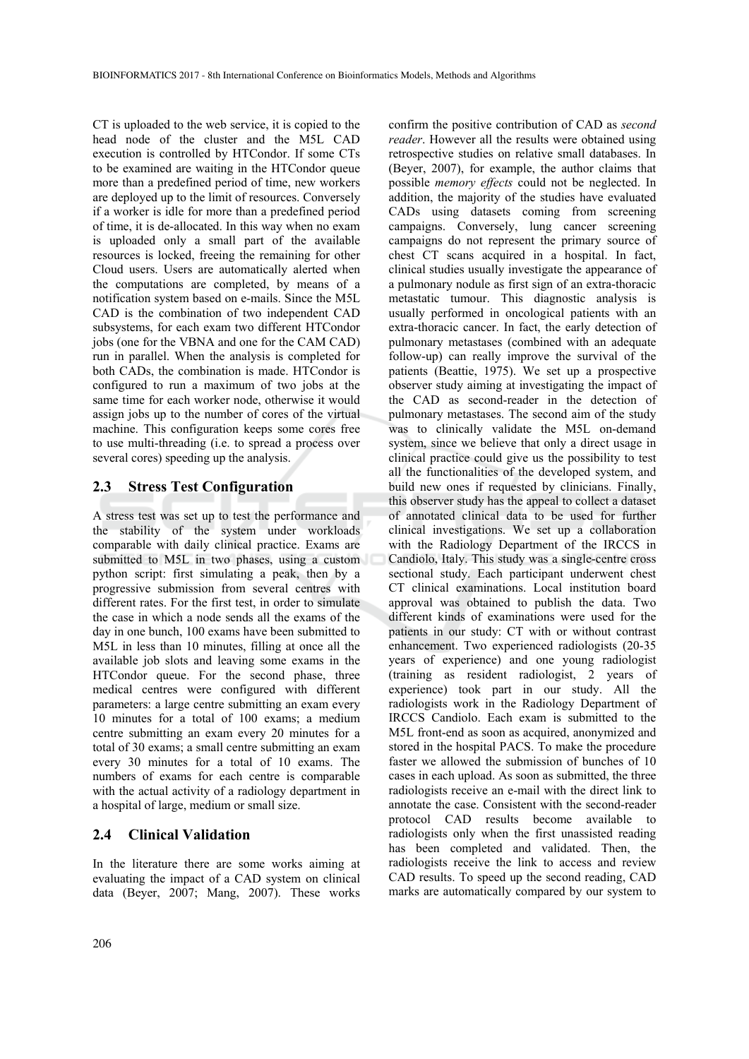CT is uploaded to the web service, it is copied to the head node of the cluster and the M5L CAD execution is controlled by HTCondor. If some CTs to be examined are waiting in the HTCondor queue more than a predefined period of time, new workers are deployed up to the limit of resources. Conversely if a worker is idle for more than a predefined period of time, it is de-allocated. In this way when no exam is uploaded only a small part of the available resources is locked, freeing the remaining for other Cloud users. Users are automatically alerted when the computations are completed, by means of a notification system based on e-mails. Since the M5L CAD is the combination of two independent CAD subsystems, for each exam two different HTCondor jobs (one for the VBNA and one for the CAM CAD) run in parallel. When the analysis is completed for both CADs, the combination is made. HTCondor is configured to run a maximum of two jobs at the same time for each worker node, otherwise it would assign jobs up to the number of cores of the virtual machine. This configuration keeps some cores free to use multi-threading (i.e. to spread a process over several cores) speeding up the analysis.

#### **2.3 Stress Test Configuration**

A stress test was set up to test the performance and the stability of the system under workloads comparable with daily clinical practice. Exams are submitted to M5L in two phases, using a custom python script: first simulating a peak, then by a progressive submission from several centres with different rates. For the first test, in order to simulate the case in which a node sends all the exams of the day in one bunch, 100 exams have been submitted to M5L in less than 10 minutes, filling at once all the available job slots and leaving some exams in the HTCondor queue. For the second phase, three medical centres were configured with different parameters: a large centre submitting an exam every 10 minutes for a total of 100 exams; a medium centre submitting an exam every 20 minutes for a total of 30 exams; a small centre submitting an exam every 30 minutes for a total of 10 exams. The numbers of exams for each centre is comparable with the actual activity of a radiology department in a hospital of large, medium or small size.

#### **2.4 Clinical Validation**

In the literature there are some works aiming at evaluating the impact of a CAD system on clinical data (Beyer, 2007; Mang, 2007). These works confirm the positive contribution of CAD as *second reader*. However all the results were obtained using retrospective studies on relative small databases. In (Beyer, 2007), for example, the author claims that possible *memory effects* could not be neglected. In addition, the majority of the studies have evaluated CADs using datasets coming from screening campaigns. Conversely, lung cancer screening campaigns do not represent the primary source of chest CT scans acquired in a hospital. In fact, clinical studies usually investigate the appearance of a pulmonary nodule as first sign of an extra-thoracic metastatic tumour. This diagnostic analysis is usually performed in oncological patients with an extra-thoracic cancer. In fact, the early detection of pulmonary metastases (combined with an adequate follow-up) can really improve the survival of the patients (Beattie, 1975). We set up a prospective observer study aiming at investigating the impact of the CAD as second-reader in the detection of pulmonary metastases. The second aim of the study was to clinically validate the M5L on-demand system, since we believe that only a direct usage in clinical practice could give us the possibility to test all the functionalities of the developed system, and build new ones if requested by clinicians. Finally, this observer study has the appeal to collect a dataset of annotated clinical data to be used for further clinical investigations. We set up a collaboration with the Radiology Department of the IRCCS in Candiolo, Italy. This study was a single-centre cross sectional study. Each participant underwent chest CT clinical examinations. Local institution board approval was obtained to publish the data. Two different kinds of examinations were used for the patients in our study: CT with or without contrast enhancement. Two experienced radiologists (20-35 years of experience) and one young radiologist (training as resident radiologist, 2 years of experience) took part in our study. All the radiologists work in the Radiology Department of IRCCS Candiolo. Each exam is submitted to the M5L front-end as soon as acquired, anonymized and stored in the hospital PACS. To make the procedure faster we allowed the submission of bunches of 10 cases in each upload. As soon as submitted, the three radiologists receive an e-mail with the direct link to annotate the case. Consistent with the second-reader protocol CAD results become available radiologists only when the first unassisted reading has been completed and validated. Then, the radiologists receive the link to access and review CAD results. To speed up the second reading, CAD marks are automatically compared by our system to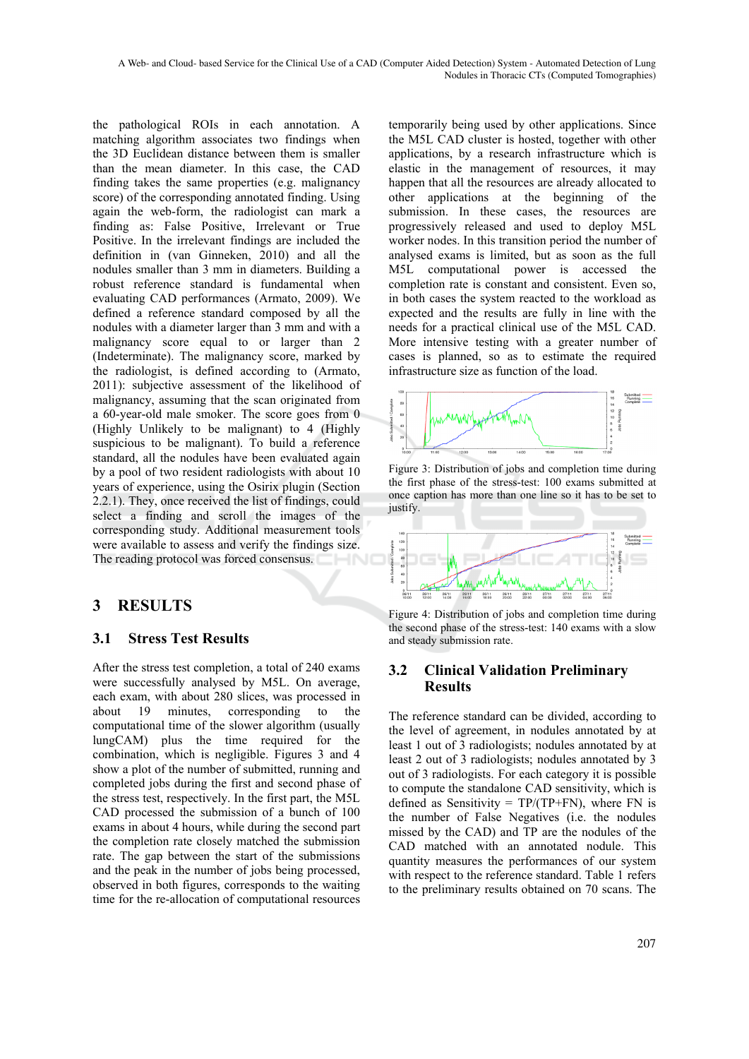the pathological ROIs in each annotation. A matching algorithm associates two findings when the 3D Euclidean distance between them is smaller than the mean diameter. In this case, the CAD finding takes the same properties (e.g. malignancy score) of the corresponding annotated finding. Using again the web-form, the radiologist can mark a finding as: False Positive, Irrelevant or True Positive. In the irrelevant findings are included the definition in (van Ginneken, 2010) and all the nodules smaller than 3 mm in diameters. Building a robust reference standard is fundamental when evaluating CAD performances (Armato, 2009). We defined a reference standard composed by all the nodules with a diameter larger than 3 mm and with a malignancy score equal to or larger than 2 (Indeterminate). The malignancy score, marked by the radiologist, is defined according to (Armato, 2011): subjective assessment of the likelihood of malignancy, assuming that the scan originated from a 60-year-old male smoker. The score goes from 0 (Highly Unlikely to be malignant) to 4 (Highly suspicious to be malignant). To build a reference standard, all the nodules have been evaluated again by a pool of two resident radiologists with about 10 years of experience, using the Osirix plugin (Section 2.2.1). They, once received the list of findings, could select a finding and scroll the images of the corresponding study. Additional measurement tools were available to assess and verify the findings size. The reading protocol was forced consensus.

## **3 RESULTS**

#### **3.1 Stress Test Results**

After the stress test completion, a total of 240 exams were successfully analysed by M5L. On average, each exam, with about 280 slices, was processed in about 19 minutes, corresponding to the computational time of the slower algorithm (usually lungCAM) plus the time required for the combination, which is negligible. Figures 3 and 4 show a plot of the number of submitted, running and completed jobs during the first and second phase of the stress test, respectively. In the first part, the M5L CAD processed the submission of a bunch of 100 exams in about 4 hours, while during the second part the completion rate closely matched the submission rate. The gap between the start of the submissions and the peak in the number of jobs being processed, observed in both figures, corresponds to the waiting time for the re-allocation of computational resources

temporarily being used by other applications. Since the M5L CAD cluster is hosted, together with other applications, by a research infrastructure which is elastic in the management of resources, it may happen that all the resources are already allocated to other applications at the beginning of the submission. In these cases, the resources are progressively released and used to deploy M5L worker nodes. In this transition period the number of analysed exams is limited, but as soon as the full M5L computational power is accessed the completion rate is constant and consistent. Even so, in both cases the system reacted to the workload as expected and the results are fully in line with the needs for a practical clinical use of the M5L CAD. More intensive testing with a greater number of cases is planned, so as to estimate the required infrastructure size as function of the load.



Figure 3: Distribution of jobs and completion time during the first phase of the stress-test: 100 exams submitted at once caption has more than one line so it has to be set to justify.



Figure 4: Distribution of jobs and completion time during the second phase of the stress-test: 140 exams with a slow and steady submission rate.

#### **3.2 Clinical Validation Preliminary Results**

The reference standard can be divided, according to the level of agreement, in nodules annotated by at least 1 out of 3 radiologists; nodules annotated by at least 2 out of 3 radiologists; nodules annotated by 3 out of 3 radiologists. For each category it is possible to compute the standalone CAD sensitivity, which is defined as Sensitivity =  $TP/(TP+FN)$ , where FN is the number of False Negatives (i.e. the nodules missed by the CAD) and TP are the nodules of the CAD matched with an annotated nodule. This quantity measures the performances of our system with respect to the reference standard. Table 1 refers to the preliminary results obtained on 70 scans. The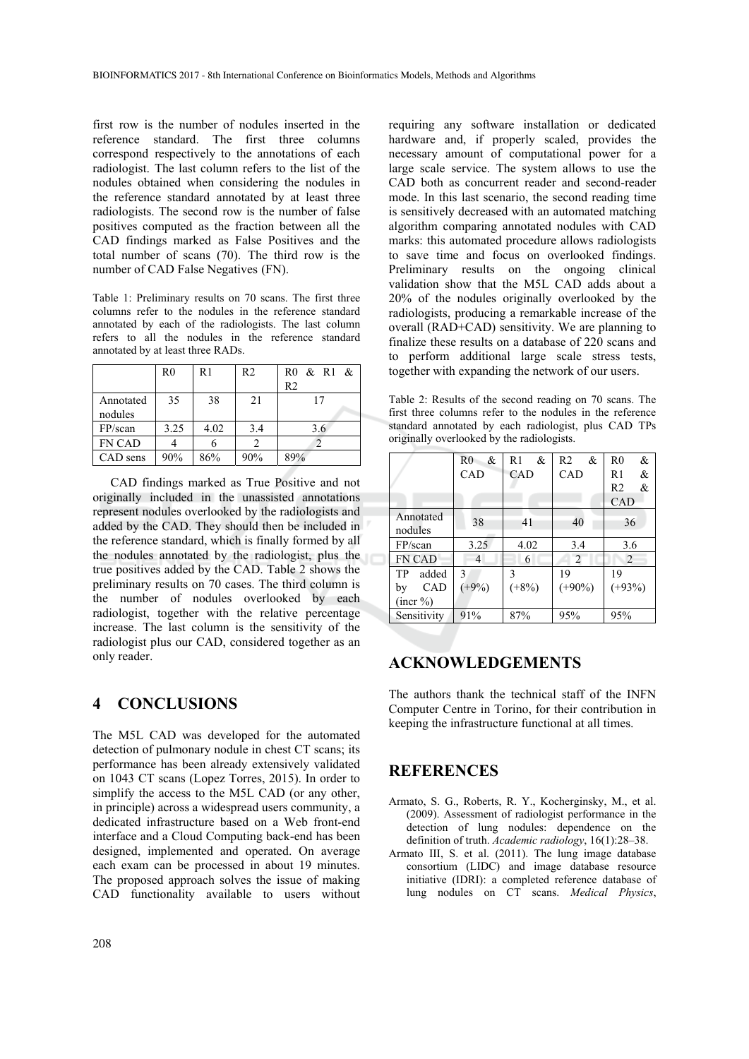first row is the number of nodules inserted in the reference standard. The first three columns correspond respectively to the annotations of each radiologist. The last column refers to the list of the nodules obtained when considering the nodules in the reference standard annotated by at least three radiologists. The second row is the number of false positives computed as the fraction between all the CAD findings marked as False Positives and the total number of scans (70). The third row is the number of CAD False Negatives (FN).

Table 1: Preliminary results on 70 scans. The first three columns refer to the nodules in the reference standard annotated by each of the radiologists. The last column refers to all the nodules in the reference standard annotated by at least three RADs.

|               | R0   | R1   | R <sub>2</sub> | R0 & R1 & |
|---------------|------|------|----------------|-----------|
|               |      |      |                | R2        |
| Annotated     | 35   | 38   | 21             | 17        |
| nodules       |      |      |                |           |
| FP/scan       | 3.25 | 4.02 | 3.4            | 3.6       |
| <b>FN CAD</b> |      |      |                |           |
| CAD sens      | 90%  | 86%  | 90%            | 89%       |

CAD findings marked as True Positive and not originally included in the unassisted annotations represent nodules overlooked by the radiologists and added by the CAD. They should then be included in the reference standard, which is finally formed by all the nodules annotated by the radiologist, plus the true positives added by the CAD. Table 2 shows the preliminary results on 70 cases. The third column is the number of nodules overlooked by each radiologist, together with the relative percentage increase. The last column is the sensitivity of the radiologist plus our CAD, considered together as an only reader.

#### **4 CONCLUSIONS**

The M5L CAD was developed for the automated detection of pulmonary nodule in chest CT scans; its performance has been already extensively validated on 1043 CT scans (Lopez Torres, 2015). In order to simplify the access to the M5L CAD (or any other, in principle) across a widespread users community, a dedicated infrastructure based on a Web front-end interface and a Cloud Computing back-end has been designed, implemented and operated. On average each exam can be processed in about 19 minutes. The proposed approach solves the issue of making CAD functionality available to users without

requiring any software installation or dedicated hardware and, if properly scaled, provides the necessary amount of computational power for a large scale service. The system allows to use the CAD both as concurrent reader and second-reader mode. In this last scenario, the second reading time is sensitively decreased with an automated matching algorithm comparing annotated nodules with CAD marks: this automated procedure allows radiologists to save time and focus on overlooked findings. Preliminary results on the ongoing clinical validation show that the M5L CAD adds about a 20% of the nodules originally overlooked by the radiologists, producing a remarkable increase of the overall (RAD+CAD) sensitivity. We are planning to finalize these results on a database of 220 scans and to perform additional large scale stress tests, together with expanding the network of our users.

Table 2: Results of the second reading on 70 scans. The first three columns refer to the nodules in the reference standard annotated by each radiologist, plus CAD TPs originally overlooked by the radiologists.

|                                                | $\&$<br>R <sub>0</sub><br>CAD | R <sub>1</sub><br>&<br>CAD | $\&$<br>R <sub>2</sub><br>CAD | &<br>R <sub>0</sub><br>&<br>R1<br>&<br>R2<br>CAD |
|------------------------------------------------|-------------------------------|----------------------------|-------------------------------|--------------------------------------------------|
| Annotated<br>nodules                           | 38                            | 41                         | 40                            | 36                                               |
| FP/scan                                        | 3.25                          | 4.02                       | 3.4                           | 3.6                                              |
| <b>FN CAD</b>                                  | $\overline{4}$                | 6                          | $\overline{2}$                | 2                                                |
| TP<br>added<br><b>CAD</b><br>by<br>$($ incr %) | 3<br>$(+9%)$                  | 3<br>$(+8%)$               | 19<br>$(+90\%)$               | 19<br>$(+93%)$                                   |
| Sensitivity                                    | 91%                           | 87%                        | 95%                           | 95%                                              |

### **ACKNOWLEDGEMENTS**

The authors thank the technical staff of the INFN Computer Centre in Torino, for their contribution in keeping the infrastructure functional at all times.

#### **REFERENCES**

- Armato, S. G., Roberts, R. Y., Kocherginsky, M., et al. (2009). Assessment of radiologist performance in the detection of lung nodules: dependence on the definition of truth. *Academic radiology*, 16(1):28–38.
- Armato III, S. et al. (2011). The lung image database consortium (LIDC) and image database resource initiative (IDRI): a completed reference database of lung nodules on CT scans. *Medical Physics*,